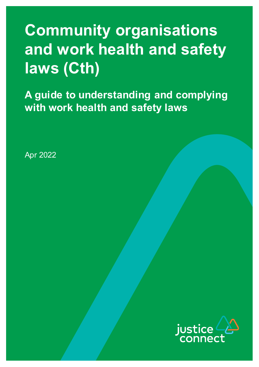# **Community organisations and work health and safety laws (Cth)**

**A guide to understanding and complying with work health and safety laws**

Apr 2022

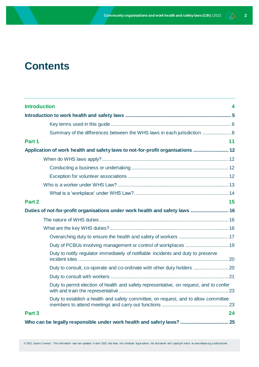## **Contents**

| <b>Introduction</b>                                                                    | 4  |
|----------------------------------------------------------------------------------------|----|
|                                                                                        |    |
|                                                                                        |    |
| Summary of the differences between the WHS laws in each jurisdiction  8                |    |
| Part 1                                                                                 | 11 |
| Application of work health and safety laws to not-for-profit organisations             |    |
|                                                                                        |    |
|                                                                                        |    |
|                                                                                        |    |
|                                                                                        |    |
|                                                                                        |    |
| Part 2                                                                                 | 15 |
| Duties of not-for-profit organisations under work health and safety laws  16           |    |
|                                                                                        |    |
|                                                                                        |    |
|                                                                                        |    |
|                                                                                        |    |
| Duty to notify regulator immediately of notifiable incidents and duty to preserve      |    |
|                                                                                        |    |
|                                                                                        |    |
| Duty to permit election of health and safety representative, on request, and to confer |    |
| Duty to establish a health and safety committee, on request, and to allow committee    |    |
| Part <sub>3</sub>                                                                      | 24 |
|                                                                                        |    |

© 2022 Justice Connect. This information was last updated in April 2022 and does not constitute legal advice, full disclaimer and copyright notice at www.nfplaw.org.au/disclai mer.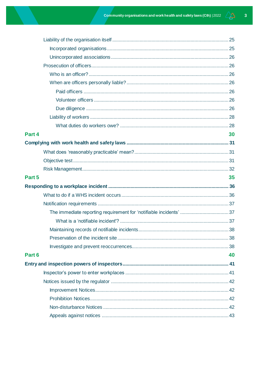| Part 4 | 30 |
|--------|----|
|        |    |
|        |    |
|        |    |
|        |    |
|        |    |
| Part 5 | 35 |
|        |    |
|        |    |
|        |    |
|        |    |
|        |    |
|        |    |
|        |    |
|        |    |
| Part 6 | 40 |
|        |    |
|        |    |
|        |    |
|        |    |
|        |    |
|        |    |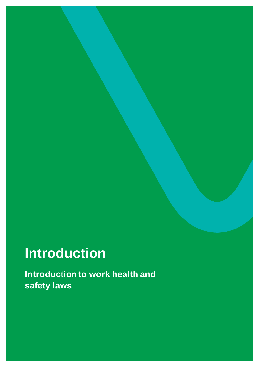# <span id="page-3-0"></span>**Introduction**

**Introduction to work health and safety laws**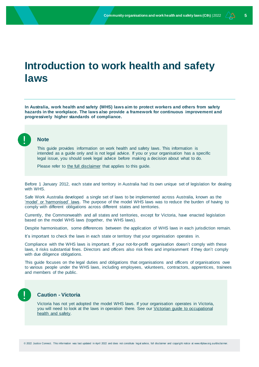## <span id="page-4-0"></span>**Introduction to work health and safety laws**

**In Australia, work health and safety (WHS) laws aim to protect workers and others from safety hazards in the workplace. The laws also provide a framework for continuous improvement and progressively higher standards of compliance.**



### **Note**

This guide provides information on work health and safety laws. This information is intended as a guide only and is not legal advice. If you or your organisation has a specific legal issue, you should seek legal advice before making a decision about what to do.

Please refer to [the full disclaimer](http://www.nfplaw.org.au/disclaimer) that applies to this guide.

Before 1 January 2012, each state and territory in Australia had its own unique set of legislation for dealing with WHS.

Safe Work Australia developed a single set of laws to be implemented across Australia, known as the ['model' or 'harmonised' laws.](https://www.safeworkaustralia.gov.au/doc/model-work-health-and-safety-act) The purpose of the model WHS laws was to reduce the burden of having to comply with different obligations across different states and territories.

Currently, the Commonwealth and all states and territories, except for Victoria, have enacted legislation based on the model WHS laws (together, the WHS laws).

Despite harmonisation, some differences between the application of WHS laws in each jurisdiction remain.

It's important to check the laws in each state or territory that your organisation operates in.

Compliance with the WHS laws is important. If your not-for-profit organisation doesn't comply with these laws, it risks substantial fines. Directors and officers also risk fines and imprisonment if they don't comply with due diligence obligations.

This guide focuses on the legal duties and obligations that organisations and officers of organisations owe to various people under the WHS laws, including employees, volunteers, contractors, apprentices, trainees and members of the public.



## **Caution - Victoria**

Victoria has not yet adopted the model WHS laws. If your organisation operates in Victoria, you will need to look at the laws in operation there. See our Victorian guide to occupational [health and safety.](https://www.nfplaw.org.au/free-resources/work-health-and-safety-laws/victoria)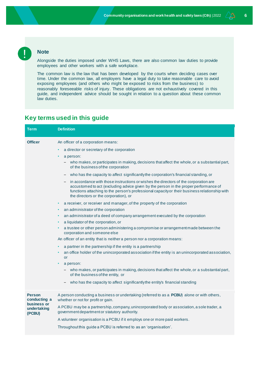## **Note**

Alongside the duties imposed under WHS Laws, there are also common law duties to provide employees and other workers with a safe workplace.

The common law is the law that has been developed by the courts when deciding cases over time. Under the common law, all employers have a legal duty to take reasonable care to avoid exposing employees (and others who might be exposed to risks from the business) to reasonably foreseeable risks of injury. These obligations are not exhaustively covered in this guide, and independent advice should be sought in relation to a question about these common law duties.

## <span id="page-5-0"></span>**Key terms used in this guide**

| <b>Term</b>                                                           | <b>Definition</b>                                                                                                                                                                                                                                                                                                                                                                                                                                                                                                                                                                                                                                                                                                                                                                                                                                                                                                                                                                                                                                                                                                                                                                                                                                                                                                                                                                                                                                                                                                                                                                                            |
|-----------------------------------------------------------------------|--------------------------------------------------------------------------------------------------------------------------------------------------------------------------------------------------------------------------------------------------------------------------------------------------------------------------------------------------------------------------------------------------------------------------------------------------------------------------------------------------------------------------------------------------------------------------------------------------------------------------------------------------------------------------------------------------------------------------------------------------------------------------------------------------------------------------------------------------------------------------------------------------------------------------------------------------------------------------------------------------------------------------------------------------------------------------------------------------------------------------------------------------------------------------------------------------------------------------------------------------------------------------------------------------------------------------------------------------------------------------------------------------------------------------------------------------------------------------------------------------------------------------------------------------------------------------------------------------------------|
| <b>Officer</b>                                                        | An officer of a corporation means:<br>a director or secretary of the corporation<br>$\bullet$<br>a person:<br>- who makes, or participates in making, decisions that affect the whole, or a substantial part,<br>of the business of the corporation<br>who has the capacity to affect significantly the corporation's financial standing, or<br>in accordance with those instructions or wishes the directors of the corporation are<br>accustomed to act (excluding advice given by the person in the proper performance of<br>functions attaching to the person's professional capacity or their business relationship with<br>the directors or the corporation), or<br>a receiver, or receiver and manager, of the property of the corporation<br>٠<br>an administrator of the corporation<br>$\bullet$<br>an administrator of a deed of company arrangement executed by the corporation<br>$\bullet$<br>a liquidator of the corporation, or<br>$\bullet$<br>a trustee or other person administering a compromise or arrangement made between the<br>corporation and someone else<br>An officer of an entity that is neither a person nor a corporation means:<br>a partner in the partnership if the entity is a partnership<br>٠<br>an office holder of the unincorporated association if the entity is an unincorporated association,<br><b>or</b><br>a person:<br>$\bullet$<br>- who makes, or participates in making, decisions that affect the whole, or a substantial part,<br>of the business of the entity, or<br>- who has the capacity to affect significantly the entity's financial standing |
| <b>Person</b><br>conducting a<br>business or<br>undertaking<br>(PCBU) | A person conducting a business or undertaking (referred to as a PCBU) alone or with others,<br>whether or not for profit or gain.<br>A PCBU may be a partnership, company, unincorporated body or association, a sole trader, a<br>government department or statutory authority.<br>A volunteer organisation is a PCBU if it employs one or more paid workers.<br>Throughout this guide a PCBU is referred to as an 'organisation'.                                                                                                                                                                                                                                                                                                                                                                                                                                                                                                                                                                                                                                                                                                                                                                                                                                                                                                                                                                                                                                                                                                                                                                          |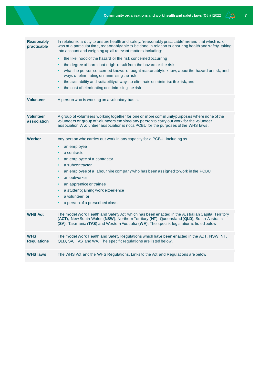| <b>Reasonably</b><br>practicable | In relation to a duty to ensure health and safety, 'reasonably practicable' means that which is, or<br>was at a particular time, reasonablyable to be done in relation to ensuring health and safety, taking<br>into account and weighing up all relevant matters including:              |
|----------------------------------|-------------------------------------------------------------------------------------------------------------------------------------------------------------------------------------------------------------------------------------------------------------------------------------------|
|                                  | the likelihood of the hazard or the risk concerned occurring<br>$\bullet$<br>the degree of harm that might result from the hazard or the risk<br>٠                                                                                                                                        |
|                                  | what the person concerned knows, or ought reasonably to know, about the hazard or risk, and<br>٠<br>ways of eliminating or minimising the risk                                                                                                                                            |
|                                  | the availability and suitability of ways to eliminate or minimise the risk, and<br>$\bullet$<br>the cost of eliminating or minimising the risk                                                                                                                                            |
|                                  | ٠                                                                                                                                                                                                                                                                                         |
| <b>Volunteer</b>                 | A person who is working on a voluntary basis.                                                                                                                                                                                                                                             |
| <b>Volunteer</b><br>association  | A group of volunteers working together for one or more communitypurposes where none of the<br>volunteers or group of volunteers employs any person to carry out work for the volunteer<br>association. A volunteer association is not a PCBU for the purposes of the WHS laws.            |
| Worker                           | Any person who carries out work in any capacity for a PCBU, including as:                                                                                                                                                                                                                 |
|                                  | an employee<br>٠                                                                                                                                                                                                                                                                          |
|                                  | a contractor<br>$\bullet$                                                                                                                                                                                                                                                                 |
|                                  | an employee of a contractor                                                                                                                                                                                                                                                               |
|                                  | a subcontractor<br>٠                                                                                                                                                                                                                                                                      |
|                                  | an employee of a labour hire company who has been assigned to work in the PCBU<br>٠                                                                                                                                                                                                       |
|                                  | an outworker<br>٠                                                                                                                                                                                                                                                                         |
|                                  | an apprentice or trainee<br>$\bullet$                                                                                                                                                                                                                                                     |
|                                  | a student gaining work experience<br>$\bullet$                                                                                                                                                                                                                                            |
|                                  | a volunteer, or<br>٠                                                                                                                                                                                                                                                                      |
|                                  | a person of a prescribed class<br>٠                                                                                                                                                                                                                                                       |
| <b>WHS Act</b>                   | The model Work Health and Safety Act which has been enacted in the Australian Capital Territory<br>(ACT), New South Wales (NSW), Northern Territory (NT), Queensland (QLD), South Australia<br>(SA), Tasmania (TAS) and Western Australia (WA). The specific legislation is listed below. |
| <b>WHS</b><br><b>Regulations</b> | The model Work Health and Safety Regulations which have been enacted in the ACT, NSW, NT,<br>QLD, SA, TAS and WA. The specific regulations are listed below.                                                                                                                              |
| <b>WHS laws</b>                  | The WHS Act and the WHS Regulations. Links to the Act and Regulations are below.                                                                                                                                                                                                          |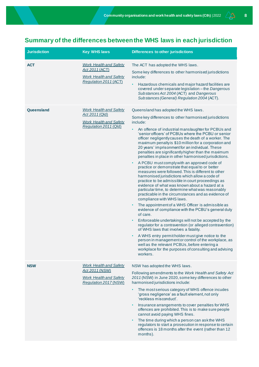## <span id="page-7-0"></span>**Summary of the differences between the WHS laws in each jurisdiction**

| <b>Jurisdiction</b> | <b>Key WHS laws</b>                                                                                       | <b>Differences to other jurisdictions</b>                                                                                                                                                                                                                                                                                                                                                                                                                                                                                                                                                                                                                                                                                                                                                                                                                                                                                                                                                                                                                                                                                                                                                                                                                                                                                                                                                                                                                                                                                          |
|---------------------|-----------------------------------------------------------------------------------------------------------|------------------------------------------------------------------------------------------------------------------------------------------------------------------------------------------------------------------------------------------------------------------------------------------------------------------------------------------------------------------------------------------------------------------------------------------------------------------------------------------------------------------------------------------------------------------------------------------------------------------------------------------------------------------------------------------------------------------------------------------------------------------------------------------------------------------------------------------------------------------------------------------------------------------------------------------------------------------------------------------------------------------------------------------------------------------------------------------------------------------------------------------------------------------------------------------------------------------------------------------------------------------------------------------------------------------------------------------------------------------------------------------------------------------------------------------------------------------------------------------------------------------------------------|
| <b>ACT</b>          | <b>Work Health and Safety</b><br>Act 2011 (ACT)<br><b>Work Health and Safety</b><br>Regulation 2011 (ACT) | The ACT has adopted the WHS laws.<br>Some key differences to other harmonised jurisdictions<br>include:<br>Hazardous chemicals and major hazard facilities are<br>$\bullet$<br>covered under separate legislation - the Dangerous<br>Substances Act 2004 (ACT) and Dangerous<br>Substances (General) Regulation 2004 (ACT).                                                                                                                                                                                                                                                                                                                                                                                                                                                                                                                                                                                                                                                                                                                                                                                                                                                                                                                                                                                                                                                                                                                                                                                                        |
| Queensland          | <b>Work Health and Safety</b><br>Act 2011 (Qld)<br><b>Work Health and Safety</b><br>Regulation 2011 (Qld) | Queensland has adopted the WHS laws.<br>Some key differences to other harmonised jurisdictions<br>include:<br>An offence of industrial manslaughter for PCBUs and<br>$\bullet$<br>'senior officers' of PCBUs where the PCBU or senior<br>officer negligently causes the death of a worker. The<br>maximum penalty is \$10 million for a corporation and<br>20 years' imprisonment for an individual. These<br>penalties are significantlyhigher than the maximum<br>penalties in place in other harmonised jurisdictions.<br>A PCBU must comply with an approved code of<br>٠<br>practice or demonstrate that equal to or better<br>measures were followed. This is different to other<br>harmonised jurisdictions which allow a code of<br>practice to be admissible in court proceedings as<br>evidence of what was known about a hazard at a<br>particular time, to determine what was reasonably<br>practicable in the circumstances and as evidence of<br>compliance with WHS laws.<br>The appointment of a WHS Officer is admissible as<br>٠<br>evidence of compliance with the PCBU's general duty<br>of care.<br>Enforceable undertakings will not be accepted by the<br>$\bullet$<br>regulator for a contravention (or alleged contravention)<br>of WHS laws that involves a fatality.<br>A WHS entry permit holder must give notice to the<br>person in management or control of the workplace, as<br>well as the relevant PCBUs, before entering a<br>workplace for the purposes of consulting and advising<br>workers. |
| <b>NSW</b>          | <b>Work Health and Safety</b><br>Act 2011 (NSW)<br><b>Work Health and Safety</b><br>Regulation 2017 (NSW) | NSW has adopted the WHS laws.<br>Following amendments to the Work Health and Safety Act<br>2011 (NSW) in June 2020, some key differences to other<br>harmonised jurisdictions include:<br>The most serious category of WHS offence incudes<br>٠<br>'gross negligence' as a fault element, not only<br>'reckless misconduct'.<br>Insurance arrangements to cover penalties for WHS<br>$\bullet$<br>offences are prohibited. This is to make sure people<br>cannot avoid paying WHS fines.<br>The time during which a person can ask the WHS<br>$\bullet$<br>regulators to start a prosecution in response to certain<br>offences is 18 months after the event (rather than 12<br>months).                                                                                                                                                                                                                                                                                                                                                                                                                                                                                                                                                                                                                                                                                                                                                                                                                                           |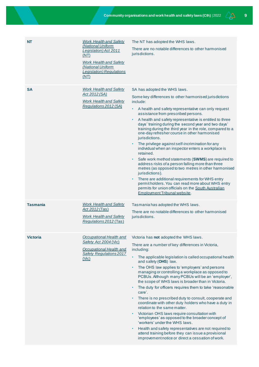| NT              | <b>Work Health and Safety</b><br>(National Uniform<br>Legislation) Act 2011<br>(NT)<br><b>Work Health and Safety</b><br>(National Uniform<br><b>Legislation</b> ) Regulations<br>(NT) | The NT has adopted the WHS laws.<br>There are no notable differences to other harmonised<br>jurisdictions.                                                                                                                                                                                                                                                                                                                                                                                                                                                                                                                                                                                                                                                                                                                                                                                                                                                                                |
|-----------------|---------------------------------------------------------------------------------------------------------------------------------------------------------------------------------------|-------------------------------------------------------------------------------------------------------------------------------------------------------------------------------------------------------------------------------------------------------------------------------------------------------------------------------------------------------------------------------------------------------------------------------------------------------------------------------------------------------------------------------------------------------------------------------------------------------------------------------------------------------------------------------------------------------------------------------------------------------------------------------------------------------------------------------------------------------------------------------------------------------------------------------------------------------------------------------------------|
| <b>SA</b>       | <b>Work Health and Safety</b><br>Act 2012 (SA)<br><b>Work Health and Safety</b><br>Regulations 2012 (SA)                                                                              | SA has adopted the WHS laws.<br>Some key differences to other harmonised jurisdictions<br>include:<br>A health and safety representative can only request<br>$\bullet$<br>assistance from prescribed persons.<br>A health and safety representative is entitled to three<br>days' training during the second year and two days'<br>training during the third year in the role, compared to a<br>one-day refresher course in other harmonised<br>jurisdictions.<br>The privilege against self-incrimination for any<br>individual when an inspector enters a workplace is<br>retained.<br>Safe work method statements (SWMS) are required to<br>$\bullet$<br>address risks of a person falling more than three<br>metres (as opposed to two metres in other harmonised<br>jurisdictions).<br>There are additional requirements for WHS entry<br>permitholders. You can read more about WHS entry<br>permits for union officials on the South Australian<br>Employment Tribunal website.    |
| <b>Tasmania</b> | <b>Work Health and Safety</b><br>Act 2012 (Tas)<br><b>Work Health and Safety</b><br>Regulations 2012 (Tas)                                                                            | Tasmania has adopted the WHS laws.<br>There are no notable differences to other harmonised<br>jurisdictions.                                                                                                                                                                                                                                                                                                                                                                                                                                                                                                                                                                                                                                                                                                                                                                                                                                                                              |
| <b>Victoria</b> | Occupational Health and<br>Safety Act 2004 (Vic)<br>Occupational Health and<br><b>Safety Regulations 2017</b><br>(V <sub>i</sub> c)                                                   | Victoria has not adopted the WHS laws.<br>There are a number of key differences in Victoria,<br>including:<br>The applicable legislation is called occupational health<br>and safety (OHS) law.<br>The OHS law applies to 'employers' and persons<br>$\bullet$<br>managing or controlling a workplace as opposed to<br>PCBUs. Although many PCBUs will be an 'employer',<br>the scope of WHS laws is broader than in Victoria.<br>The duty for officers requires them to take 'reasonable<br>$\bullet$<br>care'.<br>There is no prescribed duty to consult, cooperate and<br>$\bullet$<br>coordinate with other duty holders who have a duty in<br>relation to the same matter.<br>Victorian OHS laws require consultation with<br>'employees' as opposed to the broader concept of<br>'workers' under the WHS laws.<br>Health and safety representatives are not required to<br>attend training before they can issue a provisional<br>improvement notice or direct a cessation of work. |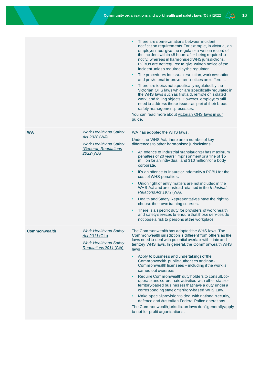|                     |                                                                                                                       | There are some variations between incident<br>notification requirements. For example, in Victoria, an<br>employer must give the regulator a written record of<br>the incident within 48 hours after being required to<br>notify, whereas in harmonised WHS jurisdictions,<br>PCBUs are not required to give written notice of the<br>incident unless required by the regulator.<br>The procedures for issue resolution, work cessation<br>$\bullet$<br>and provisional improvement notices are different.<br>There are topics not specifically regulated by the<br>Victorian OHS laws which are specifically regulated in<br>the WHS laws such as first aid, remote or isolated<br>work, and falling objects. However, employers still<br>need to address these issues as part of their broad<br>safety management processes.<br>You can read more about Victorian OHS laws in our<br>guide. |
|---------------------|-----------------------------------------------------------------------------------------------------------------------|----------------------------------------------------------------------------------------------------------------------------------------------------------------------------------------------------------------------------------------------------------------------------------------------------------------------------------------------------------------------------------------------------------------------------------------------------------------------------------------------------------------------------------------------------------------------------------------------------------------------------------------------------------------------------------------------------------------------------------------------------------------------------------------------------------------------------------------------------------------------------------------------|
| <b>WA</b>           | <b>Work Health and Safety</b><br>Act 2020 (WA)<br><b>Work Health and Safety</b><br>(General) Regulations<br>2022 (WA) | WA has adopted the WHS laws.<br>Under the WHS Act, there are a number of key<br>differences to other harmonised jurisdictions:<br>An offence of industrial manslaughter has maximum<br>penalties of 20 years' imprisonment or a fine of \$5<br>million for an individual, and \$10 million for a body<br>corporate.<br>It's an offence to insure or indemnify a PCBU for the<br>cost of WHS penalties.<br>Union right of entry matters are not included in the<br>$\bullet$<br>WHS Act and are instead retained in the Industrial<br>Relations Act 1979 (WA).<br>Health and Safety Representatives have the right to<br>$\bullet$<br>choose their own training courses.<br>There is a specific duty for providers of work health<br>$\bullet$<br>and safety services to ensure that those services do<br>not pose a risk to persons at the workplace.                                        |
| <b>Commonwealth</b> | <b>Work Health and Safety</b><br>Act 2011 (Cth)<br><b>Work Health and Safety</b><br>Regulations 2011 (Cth)            | The Commonwealth has adopted the WHS laws. The<br>Commonwealth jurisdiction is different from others as the<br>laws need to deal with potential overlap with state and<br>territory WHS laws. In general, the Commonwealth WHS<br>laws:<br>Apply to business and undertakings of the<br>$\bullet$<br>Commonwealth, public authorities and non-<br>Commonwealth licensees - including if the work is<br>carried out overseas.<br>Require Commonwealth duty holders to consult, co-<br>operate and co-ordinate activities with other state or<br>territory-based businesses that have a duty under a<br>corresponding state or territory-based WHS Law.<br>Make special provision to deal with national security,<br>$\bullet$<br>defence and Australian Federal Police operations.<br>The Commonwealth jurisdiction laws don't generally apply<br>to not-for-profit organisations.            |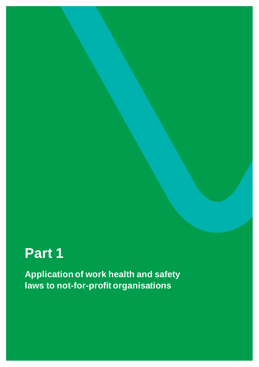# <span id="page-10-0"></span>**Part 1**

**Application of work health and safety laws to not-for-profit organisations**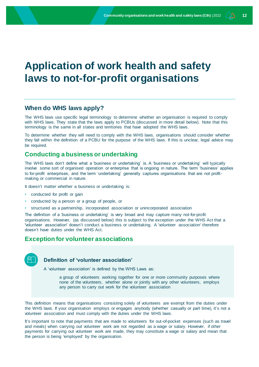## <span id="page-11-0"></span>**Application of work health and safety laws to not-for-profit organisations**

## <span id="page-11-1"></span>**When do WHS laws apply?**

The WHS laws use specific legal terminology to determine whether an organisation is required to comply with WHS laws. They state that the laws apply to PCBUs (discussed in more detail below). Note that this terminology is the same in all states and territories that have adopted the WHS laws.

To determine whether they will need to comply with the WHS laws, organisations should consider whether they fall within the definition of a PCBU for the purpose of the WHS laws. If this is unclear, legal advice may be required.

## <span id="page-11-2"></span>**Conducting a business or undertaking**

The WHS laws don't define what a 'business or undertaking' is. A 'business or undertaking' will typically involve some sort of organised operation or enterprise that is ongoing in nature. The term 'business' applies to for-profit enterprises, and the term 'undertaking' generally captures organisations that are not profitmaking or commercial in nature.

It doesn't matter whether a business or undertaking is:

- conducted for profit or gain
- conducted by a person or a group of people, or
- structured as a partnership, incorporated association or unincorporated association

The definition of a 'business or undertaking' is very broad and may capture many not-for-profit organisations. However, (as discussed below) this is subject to the exception under the WHS Act that a 'volunteer association' doesn't conduct a business or undertaking. A 'volunteer association' therefore doesn't have duties under the WHS Act.

## <span id="page-11-3"></span>**Exception for volunteer associations**

## **Definition of 'volunteer association'**

A 'volunteer association' is defined by the WHS Laws as:

a group of volunteers working together for one or more community purposes where none of the volunteers, whether alone or jointly with any other volunteers, employs any person to carry out work for the volunteer association

This definition means that organisations consisting solely of volunteers are exempt from the duties under the WHS laws. If your organisation employs or engages anybody (whether casually or part time), it's not a volunteer association and must comply with the duties under the WHS laws.

It's important to note that payments that are made to volunteers for out-of-pocket expenses (such as travel and meals) when carrying out volunteer work are not regarded as a wage or salary. However, if other payments for carrying out volunteer work are made, they may constitute a wage or salary and mean that the person is being 'employed' by the organisation.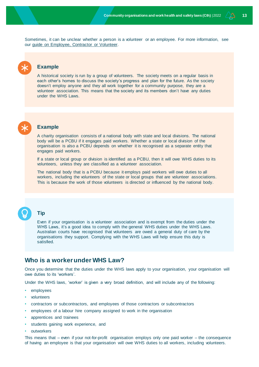Sometimes, it can be unclear whether a person is a volunteer or an employee. For more information, see our guide [on Employee, Contractor or Volunteer.](http://www.nfplaw.org.au/employees) 

## **Example**

A historical society is run by a group of volunteers. The society meets on a regular basis in each other's homes to discuss the society's progress and plan for the future. As the society doesn't employ anyone and they all work together for a community purpose, they are a volunteer association. This means that the society and its members don't have any duties under the WHS Laws.



## **Example**

A charity organisation consists of a national body with state and local divisions. The national body will be a PCBU if it engages paid workers. Whether a state or local division of the organisation is also a PCBU depends on whether it is recognised as a separate entity that engages paid workers.

If a state or local group or division is identified as a PCBU, then it will owe WHS duties to its volunteers, unless they are classified as a volunteer association.

The national body that is a PCBU because it employs paid workers will owe duties to all workers, including the volunteers of the state or local groups that are volunteer associations. This is because the work of those volunteers is directed or influenced by the national body.



## **Tip**

Even if your organisation is a volunteer association and is exempt from the duties under the WHS Laws, it's a good idea to comply with the general WHS duties under the WHS Laws. Australian courts have recognised that volunteers are owed a general duty of care by the organisations they support. Complying with the WHS Laws will help ensure this duty is satisfied.

## <span id="page-12-0"></span>**Who is a worker under WHS Law?**

Once you determine that the duties under the WHS laws apply to your organisation, your organisation will owe duties to its 'workers'.

Under the WHS laws, 'worker' is given a very broad definition, and will include any of the following:

- employees
- volunteers
- contractors or subcontractors, and employees of those contractors or subcontractors
- employees of a labour hire company assigned to work in the organisation
- apprentices and trainees
- students gaining work experience, and
- outworkers

This means that – even if your not-for-profit organisation employs only one paid worker – the consequence of having an employee is that your organisation will owe WHS duties to all workers, including volunteers.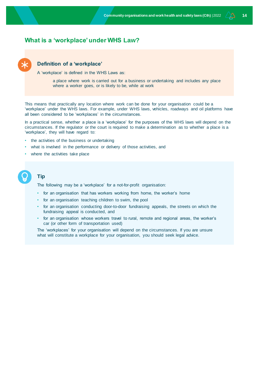## <span id="page-13-0"></span>**What is a 'workplace' under WHS Law?**



## **Definition of a 'workplace'**

A 'workplace' is defined in the WHS Laws as:

a place where work is carried out for a business or undertaking and includes any place where a worker goes, or is likely to be, while at work

This means that practically any location where work can be done for your organisation could be a 'workplace' under the WHS laws. For example, under WHS laws, vehicles, roadways and oil platforms have all been considered to be 'workplaces' in the circumstances.

In a practical sense, whether a place is a 'workplace' for the purposes of the WHS laws will depend on the circumstances. If the regulator or the court is required to make a determination as to whether a place is a 'workplace', they will have regard to:

- the activities of the business or undertaking
- what is involved in the performance or delivery of those activities, and
- where the activities take place

## **Tip**

The following may be a 'workplace' for a not-for-profit organisation:

- for an organisation that has workers working from home, the worker's home
- for an organisation teaching children to swim, the pool
- for an organisation conducting door-to-door fundraising appeals, the streets on which the fundraising appeal is conducted, and
- for an organisation whose workers travel to rural, remote and regional areas, the worker's car (or other form of transportation used)

The 'workplaces' for your organisation will depend on the circumstances. If you are unsure what will constitute a workplace for your organisation, you should seek legal advice.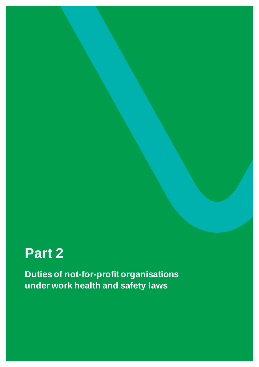# <span id="page-14-0"></span>**Part 2**

**Duties of not-for-profit organisations under work health and safety laws**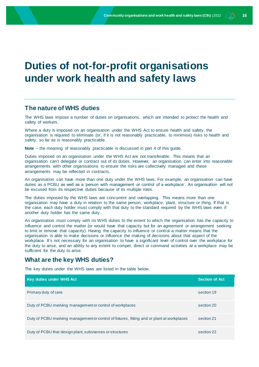## <span id="page-15-0"></span>**Duties of not-for-profit organisations under work health and safety laws**

## <span id="page-15-1"></span>**The nature of WHS duties**

The WHS laws impose a number of duties on organisations, which are intended to protect the health and safety of workers.

Where a duty is imposed on an organisation under the WHS Act to ensure health and safety, the organisation is required to eliminate (or, if it is not reasonably practicable, to minimise) risks to health and safety, so far as is reasonably practicable.

**Note** – the meaning of reasonably practicable is discussed in part 4 of this guide.

Duties imposed on an organisation under the WHS Act are not transferable. This means that an organisation can't delegate or contract out of its duties. However, an organisation can enter into reasonable arrangements with other organisations to ensure the risks are collectively managed and these arrangements may be reflected in contracts.

An organisation can have more than one duty under the WHS laws. For example, an organisation can have duties as a PCBU as well as a 'person with management or control of a workplace'. An organisation will not be excused from its respective duties because of its multiple roles.

The duties imposed by the WHS laws are concurrent and overlapping. This means more than one organisation may have a duty in relation to the same person, workplace, plant, structure or thing. If that is the case, each duty holder must comply with that duty to the standard required by the WHS laws even if another duty holder has the same duty.

An organisation must comply with its WHS duties to the extent to which the organisation has the capacity to influence and control the matter (or would have that capacity but for an agreement or arrangement seeking to limit or remove that capacity). Having the capacity to influence or control a matter means that the organisation is able to make decisions or influence the making of decisions about that aspect of the workplace. It's not necessary for an organisation to have a significant level of control over the workplace for the duty to arise, and an ability to any extent to compel, direct or command activities at a workplace may be sufficient for the duty to arise.

## <span id="page-15-2"></span>**What are the key WHS duties?**

The key duties under the WHS laws are listed in the table below.

| Key duties under WHS Act                                                                     | <b>Section of Act</b> |
|----------------------------------------------------------------------------------------------|-----------------------|
| Primary duty of care                                                                         | section 19            |
| Duty of PCBU involving management or control of workplaces                                   | section 20            |
| Duty of PCBU involving management or control of fixtures, fitting and or plant at workplaces | section 21            |
| Duty of PCBU that design plant, substances or structures                                     | section 22            |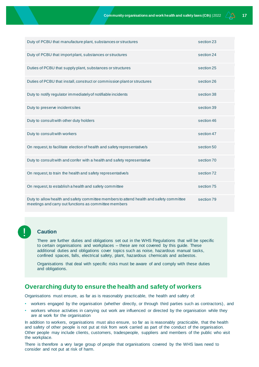| Duty of PCBU that manufacture plant, substances or structures                                                                                    | section 23 |
|--------------------------------------------------------------------------------------------------------------------------------------------------|------------|
| Duty of PCBU that importplant, substances or structures                                                                                          | section 24 |
| Duties of PCBU that supply plant, substances or structures                                                                                       | section 25 |
| Duties of PCBU that install, construct or commission plant or structures                                                                         | section 26 |
| Duty to notify regulator immediately of notifiable incidents                                                                                     | section 38 |
| Duty to preserve incident sites                                                                                                                  | section 39 |
| Duty to consult with other duty holders                                                                                                          | section 46 |
| Duty to consult with workers                                                                                                                     | section 47 |
| On request, to facilitate election of health and safety representative/s                                                                         | section 50 |
| Duty to consult with and confer with a health and safety representative                                                                          | section 70 |
| On request, to train the health and safety representative/s                                                                                      | section 72 |
| On request, to establish a health and safety committee                                                                                           | section 75 |
| Duty to allow health and safety committee members to attend health and safety committee<br>meetings and carry out functions as committee members | section 79 |



## **Caution**

There are further duties and obligations set out in the WHS Regulations that will be specific to certain organisations and workplaces – these are not covered by this guide. These additional duties and obligations cover topics such as noise, hazardous manual tasks, confined spaces, falls, electrical safety, plant, hazardous chemicals and asbestos.

Organisations that deal with specific risks must be aware of and comply with these duties and obligations.

## <span id="page-16-0"></span>**Overarching duty to ensure the health and safety of workers**

Organisations must ensure, as far as is reasonably practicable, the health and safety of:

- workers engaged by the organisation (whether directly, or through third parties such as contractors), and
- workers whose activities in carrying out work are influenced or directed by the organisation while they are at work for the organisation

In addition to workers, organisations must also ensure, so far as is reasonably practicable, that the health and safety of other people is not put at risk from work carried as part of the conduct of the organisation. Other people may include clients, customers, tradespeople, suppliers and members of the public who visit the workplace.

There is therefore a very large group of people that organisations covered by the WHS laws need to consider and not put at risk of harm.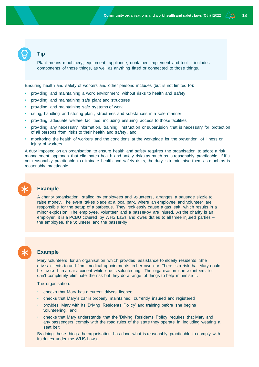## **Tip**

Plant means machinery, equipment, appliance, container, implement and tool. It includes components of those things, as well as anything fitted or connected to those things.

Ensuring health and safety of workers and other persons includes (but is not limited to):

- providing and maintaining a work environment without risks to health and safety
- providing and maintaining safe plant and structures
- providing and maintaining safe systems of work
- using, handling and storing plant, structures and substances in a safe manner
- providing adequate welfare facilities, including ensuring access to those facilities
- providing any necessary information, training, instruction or supervision that is necessary for protection of all persons from risks to their health and safety, and
- monitoring the health of workers and the conditions at the workplace for the prevention of illness or injury of workers

A duty imposed on an organisation to ensure health and safety requires the organisation to adopt a risk management approach that eliminates health and safety risks as much as is reasonably practicable. If it's not reasonably practicable to eliminate health and safety risks, the duty is to minimise them as much as is reasonably practicable.

## **Example**

A charity organisation, staffed by employees and volunteers, arranges a sausage sizzle to raise money. The event takes place at a local park, where an employee and volunteer are responsible for the setup of a barbeque. They recklessly cause a gas leak, which results in a minor explosion. The employee, volunteer and a passer-by are injured. As the charity is an employer, it is a PCBU covered by WHS Laws and owes duties to all three injured parties – the employee, the volunteer and the passer-by.

**Example**

Mary volunteers for an organisation which provides assistance to elderly residents. She drives clients to and from medical appointments in her own car. There is a risk that Mary could be involved in a car accident while she is volunteering. The organisation she volunteers for can't completely eliminate the risk but they do a range of things to help minimise it.

The organisation:

- checks that Mary has a current drivers licence
- checks that Mary's car is properly maintained, currently insured and registered
- provides Mary with its 'Driving Residents Policy' and training before she begins volunteering, and
- checks that Mary understands that the 'Driving Residents Policy' requires that Mary and any passengers comply with the road rules of the state they operate in, including wearing a seat belt

By doing these things the organisation has done what is reasonably practicable to comply with its duties under the WHS Laws.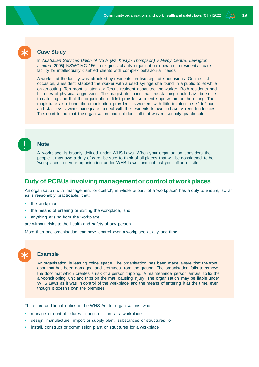

In Australian Services Union of NSW (Ms Kristyn Thompson) v Mercy Centre, Lavington *Limited* [2005] NSWCIMC 156, a religious charity organisation operated a residential care facility for intellectually disabled clients with complex behavioural needs.

A worker at the facility was attacked by residents on two separate occasions. On the first occasion, a resident stabbed the worker with a used syringe she found in a public toilet while on an outing. Ten months later, a different resident assaulted the worker. Both residents had histories of physical aggression. The magistrate found that the stabbing could have been life threatening and that the organisation didn't provide sufficient supervision on the outing. The magistrate also found the organisation provided its workers with little training in self-defence and staff levels were inadequate to deal with the residents known to have violent tendencies. The court found that the organisation had not done all that was reasonably practicable.



A 'workplace' is broadly defined under WHS Laws. When your organisation considers the people it may owe a duty of care, be sure to think of all places that will be considered to be 'workplaces' for your organisation under WHS Laws, and not just your office or site.

## <span id="page-18-0"></span>**Duty of PCBUs involving management or control of workplaces**

An organisation with 'management or control', in whole or part, of a 'workplace' has a duty to ensure, so far as is reasonably practicable, that:

- the workplace
- the means of entering or exiting the workplace, and
- anything arising from the workplace,

are without risks to the health and safety of any person

More than one organisation can have control over a workplace at any one time.

## **Example**

An organisation is leasing office space. The organisation has been made aware that the front door mat has been damaged and protrudes from the ground. The organisation fails to remove the door mat which creates a risk of a person tripping. A maintenance person arrives to fix the air-conditioning unit and trips on the mat, causing injury. The organisation may be liable under WHS Laws as it was in control of the workplace and the means of entering it at the time, even though it doesn't own the premises.

There are additional duties in the WHS Act for organisations who:

- manage or control fixtures, fittings or plant at a workplace
- design, manufacture, import or supply plant, substances or structures, or
- install, construct or commission plant or structures for a workplace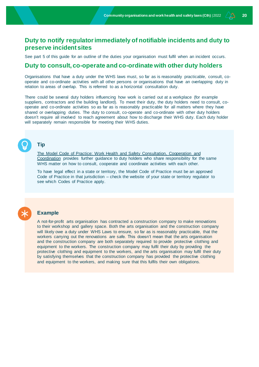## <span id="page-19-0"></span>**Duty to notify regulator immediately of notifiable incidents and duty to preserve incident sites**

See part 5 of this guide for an outline of the duties your organisation must fulfil when an incident occurs.

## <span id="page-19-1"></span>**Duty to consult, co-operate and co-ordinate with other duty holders**

Organisations that have a duty under the WHS laws must, so far as is reasonably practicable, consult, cooperate and co-ordinate activities with all other persons or organisations that have an overlapping duty in relation to areas of overlap. This is referred to as a horizontal consultation duty.

There could be several duty holders influencing how work is carried out at a workplace (for example suppliers, contractors and the building landlord). To meet their duty, the duty holders need to consult, cooperate and co-ordinate activities so as far as is reasonably practicable for all matters where they have shared or overlapping duties. The duty to consult, co-operate and co-ordinate with other duty holders doesn't require all involved to reach agreement about how to discharge their WHS duty. Each duty holder will separately remain responsible for meeting their WHS duties.

## **Tip**

[The Model Code of Practice: Work Health and Safety Consultation, Cooperation and](https://www.safeworkaustralia.gov.au/doc/model-code-practice-work-health-and-safety-consultation-cooperation-and-coordination)  [Coordination](https://www.safeworkaustralia.gov.au/doc/model-code-practice-work-health-and-safety-consultation-cooperation-and-coordination) provides further guidance to duty holders who share responsibility for the same WHS matter on how to consult, cooperate and coordinate activities with each other.

To have legal effect in a state or territory, the Model Code of Practice must be an approved Code of Practice in that jurisdiction – check the website of your state or territory regulator to see which Codes of Practice apply.

## **Example**

A not-for-profit arts organisation has contracted a construction company to make renovations to their workshop and gallery space. Both the arts organisation and the construction company will likely owe a duty under WHS Laws to ensure, so far as is reasonably practicable, that the workers carrying out the renovations are safe. This doesn't mean that the arts organisation and the construction company are both separately required to provide protective clothing and equipment to the workers. The construction company may fulfil their duty by providing the protective clothing and equipment to the workers, and the arts organisation may fulfil their duty by satisfying themselves that the construction company has provided the protective clothing and equipment to the workers, and making sure that this fulfils their own obligations.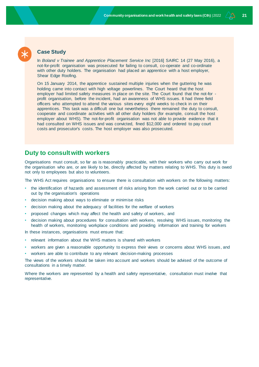

## **Case Study**

In *Boland v Trainee and Apprentice Placement Service Inc* [2016] SAIRC 14 (27 May 2016), a not-for-profit organisation was prosecuted for failing to consult, co-operate and co-ordinate with other duty holders. The organisation had placed an apprentice with a host employer, Shear Edge Roofing.

On 15 January 2014, the apprentice sustained multiple injuries when the guttering he was holding came into contact with high voltage powerlines. The Court heard that the host employer had limited safety measures in place on the site. The Court found that the not-for profit organisation, before the incident, had an awareness of WHS issues. It had three field officers who attempted to attend the various sites every eight weeks to check in on their apprentices. This task was a difficult one but nevertheless there remained the duty to consult, cooperate and coordinate activities with all other duty holders (for example, consult the host employer about WHS). The not-for-profit organisation was not able to provide evidence that it had consulted on WHS issues and was convicted, fined \$12,000 and ordered to pay court costs and prosecutor's costs. The host employer was also prosecuted.

## <span id="page-20-0"></span>**Duty to consult with workers**

Organisations must consult, so far as is reasonably practicable, with their workers who carry out work for the organisation who are, or are likely to be, directly affected by matters relating to WHS. This duty is owed not only to employees but also to volunteers.

The WHS Act requires organisations to ensure there is consultation with workers on the following matters:

- the identification of hazards and assessment of risks arising from the work carried out or to be carried out by the organisation's operations
- decision making about ways to eliminate or minimise risks
- decision making about the adequacy of facilities for the welfare of workers
- proposed changes which may affect the health and safety of workers, and
- decision making about procedures for consultation with workers, resolving WHS issues, monitoring the health of workers, monitoring workplace conditions and providing information and training for workers

In these instances, organisations must ensure that:

- relevant information about the WHS matters is shared with workers
- workers are given a reasonable opportunity to express their views or concerns about WHS issues, and
- workers are able to contribute to any relevant decision-making processes

The views of the workers should be taken into account and workers should be advised of the outcome of consultations in a timely matter.

Where the workers are represented by a health and safety representative, consultation must involve that representative.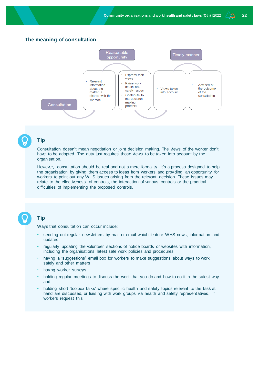## **The meaning of consultation**





## **Tip**

Consultation doesn't mean negotiation or joint decision making. The views of the worker don't have to be adopted. The duty just requires those views to be taken into account by the organisation.

However, consultation should be real and not a mere formality. It's a process designed to help the organisation by giving them access to ideas from workers and providing an opportunity for workers to point out any WHS issues arising from the relevant decision. These issues may relate to the effectiveness of controls, the interaction of various controls or the practical difficulties of implementing the proposed controls.

## **Tip**

Ways that consultation can occur include:

- sending out regular newsletters by mail or email which feature WHS news, information and updates
- regularly updating the volunteer sections of notice boards or websites with information, including the organisations latest safe work policies and procedures
- having a 'suggestions' email box for workers to make suggestions about ways to work safely and other matters
- having worker surveys
- holding regular meetings to discuss the work that you do and how to do it in the safest way, and
- holding short 'toolbox talks' where specific health and safety topics relevant to the task at hand are discussed, or liaising with work groups via health and safety representatives, if workers request this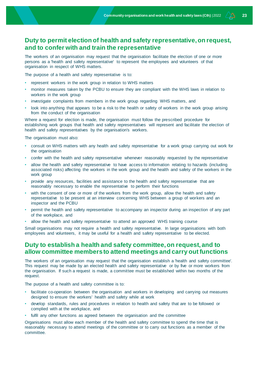## <span id="page-22-0"></span>**Duty to permit election of health and safety representative, on request, and to confer with and train the representative**

The workers of an organisation may request that the organisation facilitate the election of one or more persons as a 'health and safety representative' to represent the employees and volunteers of that organisation in respect of WHS matters.

The purpose of a health and safety representative is to:

- represent workers in the work group in relation to WHS matters
- monitor measures taken by the PCBU to ensure they are compliant with the WHS laws in relation to workers in the work group
- investigate complaints from members in the work group regarding WHS matters, and
- look into anything that appears to be a risk to the health or safety of workers in the work group arising from the conduct of the organisation

Where a request for election is made, the organisation must follow the prescribed procedure for establishing work groups that health and safety representatives will represent and facilitate the election of health and safety representatives by the organisation's workers.

The organisation must also:

- consult on WHS matters with any health and safety representative for a work group carrying out work for the organisation
- confer with the health and safety representative whenever reasonably requested by the representative
- allow the health and safety representative to have access to information relating to hazards (including associated risks) affecting the workers in the work group and the health and safety of the workers in the work group
- provide any resources, facilities and assistance to the health and safety representative that are reasonably necessary to enable the representative to perform their functions
- with the consent of one or more of the workers from the work group, allow the health and safety representative to be present at an interview concerning WHS between a group of workers and an inspector and the PCBU
- permit the health and safety representative to accompany an inspector during an inspection of any part of the workplace, and
- allow the health and safety representative to attend an approved WHS training course

Small organisations may not require a health and safety representative. In large organisations with both employees and volunteers, it may be useful for a health and safety representative to be elected.

## <span id="page-22-1"></span>**Duty to establish a health and safety committee, on request, and to allow committee members to attend meetings and carry out functions**

The workers of an organisation may request that the organisation establish a 'health and safety committee'. This request may be made by an elected health and safety representative or by five or more workers from the organisation. If such a request is made, a committee must be established within two months of the request.

The purpose of a health and safety committee is to:

- facilitate co-operation between the organisation and workers in developing and carrying out measures designed to ensure the workers' health and safety while at work
- develop standards, rules and procedures in relation to health and safety that are to be followed or complied with at the workplace, and
- fulfil any other functions as agreed between the organisation and the committee

Organisations must allow each member of the health and safety committee to spend the time that is reasonably necessary to attend meetings of the committee or to carry out functions as a member of the committee.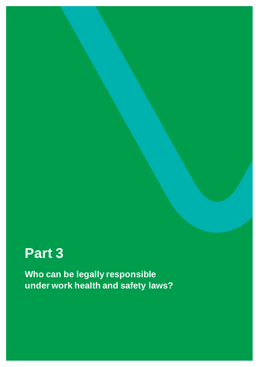# <span id="page-23-0"></span>**Part 3**

**Who can be legally responsible under work health and safety laws?**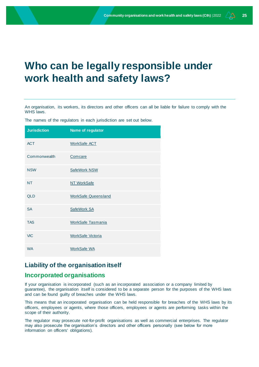## <span id="page-24-0"></span>**Who can be legally responsible under work health and safety laws?**

An organisation, its workers, its directors and other officers can all be liable for failure to comply with the WHS laws.

The names of the regulators in each jurisdiction are set out below.

| <b>Jurisdiction</b> | Name of regulator          |
|---------------------|----------------------------|
| <b>ACT</b>          | <b>WorkSafe ACT</b>        |
| Commonwealth        | Comcare                    |
| <b>NSW</b>          | SafeWork NSW               |
| <b>NT</b>           | NT WorkSafe                |
| <b>QLD</b>          | <b>WorkSafe Queensland</b> |
| <b>SA</b>           | SafeWork SA                |
| <b>TAS</b>          | <b>WorkSafe Tasmania</b>   |
| <b>VIC</b>          | <b>WorkSafe Victoria</b>   |
| <b>WA</b>           | <b>WorkSafe WA</b>         |

## <span id="page-24-1"></span>**Liability of the organisation itself**

## <span id="page-24-2"></span>**Incorporated organisations**

If your organisation is incorporated (such as an incorporated association or a company limited by guarantee), the organisation itself is considered to be a separate person for the purposes of the WHS laws and can be found guilty of breaches under the WHS laws.

This means that an incorporated organisation can be held responsible for breaches of the WHS laws by its officers, employees or agents, where those officers, employees or agents are performing tasks within the scope of their authority.

The regulator may prosecute not-for-profit organisations as well as commercial enterprises. The regulator may also prosecute the organisation's directors and other officers personally (see below for more information on officers' obligations).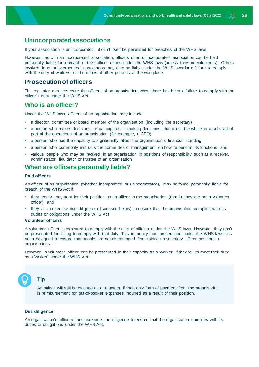## <span id="page-25-0"></span>**Unincorporated associations**

If your association is unincorporated, it can't itself be penalised for breaches of the WHS laws.

However, as with an incorporated association, officers of an unincorporated association can be held personally liable for a breach of their officer duties under the WHS laws (unless they are volunteers). Others involved in an unincorporated association may also be liable under the WHS laws for a failure to comply with the duty of workers, or the duties of other persons at the workplace.

## <span id="page-25-1"></span>**Prosecution of officers**

The regulator can prosecute the officers of an organisation when there has been a failure to comply with the officer's duty under the WHS Act.

## <span id="page-25-2"></span>**Who is an officer?**

Under the WHS laws, officers of an organisation may include:

- a director, committee or board member of the organisation (including the secretary)
- a person who makes decisions, or participates in making decisions, that affect the whole or a substantial part of the operations of an organisation (for example, a CEO)
- a person who has the capacity to significantly affect the organisation's financial standing
- a person who commonly instructs the committee of management on how to perform its functions, and
- various people who may be involved in an organisation in positions of responsibility such as a receiver, administrator, liquidator or trustee of an organisation

## <span id="page-25-3"></span>**When are officers personally liable?**

### <span id="page-25-4"></span>**Paid officers**

An officer of an organisation (whether incorporated or unincorporated), may be found personally liable for breach of the WHS Act if:

- they receive payment for their position as an officer in the organisation (that is, they are not a volunteer officer), and
- they fail to exercise due diligence (discussed below) to ensure that the organisation complies with its duties or obligations under the WHS Act

### <span id="page-25-5"></span>**Volunteer officers**

A volunteer officer is expected to comply with the duty of officers under the WHS laws. However, they can't be prosecuted for failing to comply with that duty. This immunity from prosecution under the WHS laws has been designed to ensure that people are not discouraged from taking up voluntary officer positions in organisations.

However, a volunteer officer can be prosecuted in their capacity as a 'worker' if they fail to meet their duty as a 'worker' under the WHS Act.

## **Tip**

An officer will still be classed as a volunteer if their only form of payment from the organisation is reimbursement for out-of-pocket expenses incurred as a result of their position.

### <span id="page-25-6"></span>**Due diligence**

An organisation's officers must exercise due diligence to ensure that the organisation complies with its duties or obligations under the WHS Act.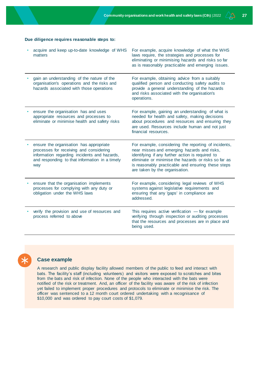### **Due diligence requires reasonable steps to:**

| acquire and keep up-to-date knowledge of WHS<br>matters                                                                                                                                     | For example, acquire knowledge of what the WHS<br>laws require, the strategies and processes for<br>eliminating or minimising hazards and risks so far<br>as is reasonably practicable and emerging issues.                                                                                             |
|---------------------------------------------------------------------------------------------------------------------------------------------------------------------------------------------|---------------------------------------------------------------------------------------------------------------------------------------------------------------------------------------------------------------------------------------------------------------------------------------------------------|
| gain an understanding of the nature of the<br>organisation's operations and the risks and<br>hazards associated with those operations                                                       | For example, obtaining advice from a suitably<br>qualified person and conducting safety audits to<br>provide a general understanding of the hazards<br>and risks associated with the organisation's<br>operations.                                                                                      |
| ensure the organisation has and uses<br>appropriate resources and processes to<br>eliminate or minimise health and safety risks                                                             | For example, gaining an understanding of what is<br>needed for health and safety, making decisions<br>about procedures and resources and ensuring they<br>are used. Resources include human and not just<br>financial resources.                                                                        |
| ensure the organisation has appropriate<br>processes for receiving and considering<br>information regarding incidents and hazards,<br>and responding to that information in a timely<br>way | For example, considering the reporting of incidents,<br>near misses and emerging hazards and risks,<br>identifying if any further action is required to<br>eliminate or minimise the hazards or risks so far as<br>is reasonably practicable and ensuring these steps<br>are taken by the organisation. |
| ensure that the organisation implements<br>processes for complying with any duty or<br>obligation under the WHS laws                                                                        | For example, considering legal reviews of WHS<br>systems against legislative requirements and<br>ensuring that any 'gaps' in compliance are<br>addressed.                                                                                                                                               |
| verify the provision and use of resources and<br>process referred to above                                                                                                                  | This requires active verification $-$ for example<br>verifying through inspection or auditing processes<br>that the resources and processes are in place and<br>being used.                                                                                                                             |



## **Case example**

A research and public display facility allowed members of the public to feed and interact with bats. The facility's staff (including volunteers) and visitors were exposed to scratches and bites from the bats and risk of infection. None of the people who interacted with the bats were notified of the risk or treatment. And, an officer of the facility was aware of the risk of infection yet failed to implement proper procedures and protocols to eliminate or minimise the risk. The officer was sentenced to a 12 month court ordered undertaking with a recognisance of \$10,000 and was ordered to pay court costs of \$1,079.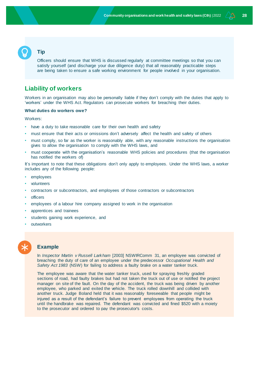## **Tip**

Officers should ensure that WHS is discussed regularly at committee meetings so that you can satisfy yourself (and discharge your due diligence duty) that all reasonably practicable steps are being taken to ensure a safe working environment for people involved in your organisation.

## <span id="page-27-0"></span>**Liability of workers**

Workers in an organisation may also be personally liable if they don't comply with the duties that apply to 'workers' under the WHS Act. Regulators can prosecute workers for breaching their duties.

### <span id="page-27-1"></span>**What duties do workers owe?**

Workers:

- have a duty to take reasonable care for their own health and safety
- must ensure that their acts or omissions don't adversely affect the health and safety of others
- must comply, so far as the worker is reasonably able, with any reasonable instructions the organisation gives to allow the organisation to comply with the WHS laws, and
- must cooperate with the organisation's reasonable WHS policies and procedures (that the organisation has notified the workers of)

It's important to note that these obligations don't only apply to employees. Under the WHS laws, a worker includes any of the following people:

- employees
- volunteers
- contractors or subcontractors, and employees of those contractors or subcontractors
- officers
- employees of a labour hire company assigned to work in the organisation
- apprentices and trainees
- students gaining work experience, and
- **outworkers**

## **Example**

In *Inspector Martin v Russell Larkham* [2003] NSWIRComm 31, an employee was convicted of breaching the duty of care of an employee under the predecessor *Occupational Health and Safety Act 1983* (NSW) for failing to address a faulty brake on a water tanker truck.

The employee was aware that the water tanker truck, used for spraying freshly graded sections of road, had faulty brakes but had not taken the truck out of use or notified the project manager on site of the fault. On the day of the accident, the truck was being driven by another employee, who parked and exited the vehicle. The truck rolled downhill and collided with another truck. Judge Boland held that it was reasonably foreseeable that people might be injured as a result of the defendant's failure to prevent employees from operating the truck until the handbrake was repaired. The defendant was convicted and fined \$520 with a moiety to the prosecutor and ordered to pay the prosecutor's costs.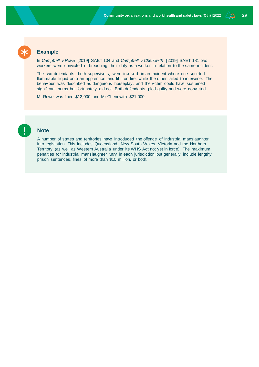

## **Example**

In *Campbell v Rowe* [2019] SAET 104 and *Campbell v Chenowith* [2019] SAET 181 two workers were convicted of breaching their duty as a worker in relation to the same incident.

The two defendants, both supervisors, were involved in an incident where one squirted flammable liquid onto an apprentice and lit it on fire, while the other failed to intervene. The behaviour was described as dangerous horseplay, and the victim could have sustained significant burns but fortunately did not. Both defendants pled guilty and were convicted.

Mr Rowe was fined \$12,000 and Mr Chenowith \$21,000.



## **Note**

A number of states and territories have introduced the offence of industrial manslaughter into legislation. This includes Queensland, New South Wales, Victoria and the Northern Territory (as well as Western Australia under its WHS Act not yet in force). The maximum penalties for industrial manslaughter vary in each jurisdiction but generally include lengthy prison sentences, fines of more than \$10 million, or both.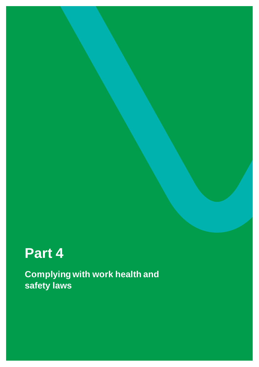# <span id="page-29-0"></span>**Part 4**

**Complying with work health and safety laws**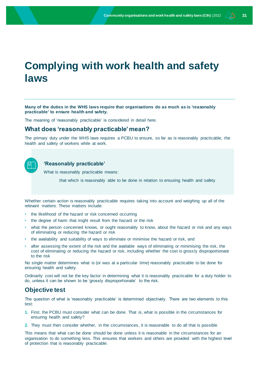## <span id="page-30-0"></span>**Complying with work health and safety laws**

**Many of the duties in the WHS laws require that organisations do as much as is 'reasonably practicable' to ensure health and safety.** 

The meaning of 'reasonably practicable' is considered in detail here.

## <span id="page-30-1"></span>**What does 'reasonably practicable' mean?**

The primary duty under the WHS laws requires a PCBU to ensure, so far as is reasonably practicable, the health and safety of workers while at work.



## **'Reasonably practicable'**

What is reasonably practicable means:

that which is reasonably able to be done in relation to ensuring health and safety

Whether certain action is reasonably practicable requires taking into account and weighing up all of the relevant matters. These matters include:

- the likelihood of the hazard or risk concerned occurring
- the degree of harm that might result from the hazard or the risk
- what the person concerned knows, or ought reasonably to know, about the hazard or risk and any ways of eliminating or reducing the hazard or risk
- the availability and suitability of ways to eliminate or minimise the hazard or risk, and
- after assessing the extent of the risk and the available ways of eliminating or minimising the risk, the cost of eliminating or reducing the hazard or risk, including whether the cost is gross ly disproportionate to the risk

No single matter determines what is (or was at a particular time) reasonably practicable to be done for ensuring health and safety.

Ordinarily cost will not be the key factor in determining what it is reasonably practicable for a duty holder to do, unless it can be shown to be 'grossly disproportionate' to the risk.

## <span id="page-30-2"></span>**Objective test**

The question of what is 'reasonably practicable' is determined objectively. There are two elements to this test:

- **1.** First, the PCBU must consider what can be done. That is, what is possible in the circumstances for ensuring health and safety?
- **2.** They must then consider whether, in the circumstances, it is reasonable to do all that is possible

This means that what can be done should be done unless it is reasonable in the circumstances for an organisation to do something less. This ensures that workers and others are provided with the highest level of protection that is reasonably practicable.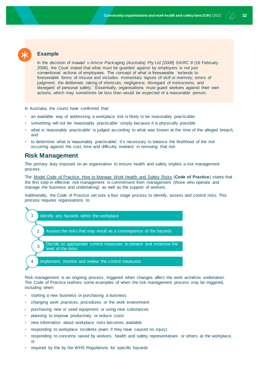

In the decision of *Awwad v Amcor Packaging (Australia) Pty Ltd [2008] SAIRC 8* (18 February 2008), the Court stated that what must be guarded against by employers is not just conventional actions of employees. The concept of what is foreseeable 'extends to foreseeable forms of misuse and includes: momentary lapses of skill or memory; errors of judgment; the deliberate taking of shortcuts; negligence; disregard of instructions; and disregard of personal safety.' Essentially, organisations must guard workers against their own actions, which may sometimes be less than would be expected of a reasonable person.

In Australia, the courts have confirmed that:

- an available way of addressing a workplace risk is likely to be reasonably practicable
- something will not be 'reasonably practicable' simply because it is physically possible
- what is 'reasonably practicable' is judged according to what was known at the time of the alleged breach, and
- to determine what is 'reasonably practicable', it's necessary to balance the likelihood of the risk occurring against the cost, time and difficulty involved in removing that risk

## <span id="page-31-0"></span>**Risk Management**

The primary duty imposed on an organisation to ensure health and safety implies a risk management process.

The [Model Code of Practice: How to Manage Work Health and Safety Risks](https://www.safeworkaustralia.gov.au/doc/model-codes-practice/model-code-practice-how-manage-work-health-and-safety-risks) (**Code of Practice**) states that the first step in effective risk management is commitment from management (those who operate and manage the business and undertaking) as well as the support of workers.

Additionally, the Code of Practice set outs a four stage process to identify, assess and control risks. This process requires organisations to:



Risk management is an ongoing process, triggered when changes affect the work activities undertaken. The Code of Practice outlines some examples of when the risk management process may be triggered, including when:

- starting a new business or purchasing a business
- changing work practices, procedures or the work environment
- purchasing new or used equipment or using new substances
- planning to improve productivity or reduce costs
- new information about workplace risks becomes available
- responding to workplace incidents (even if they have caused no injury)
- responding to concerns raised by workers, health and safety representatives or others at the workplace, or
- required by the by the WHS Regulations for specific hazards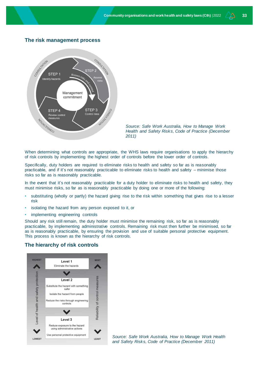## **The risk management process**



*Source: Safe Work Australia, How to Manage Work Health and Safety Risks, Code of Practice (December 2011)*

When determining what controls are appropriate, the WHS laws require organisations to apply the hierarchy of risk controls by implementing the highest order of controls before the lower order of controls.

Specifically, duty holders are required to eliminate risks to health and safety so far as is reasonably practicable, and if it's not reasonably practicable to eliminate risks to health and safety – minimise those risks so far as is reasonably practicable.

In the event that it's not reasonably practicable for a duty holder to eliminate risks to health and safety, they must minimise risks, so far as is reasonably practicable by doing one or more of the following:

- substituting (wholly or partly) the hazard giving rise to the risk within something that gives rise to a lesser risk
- isolating the hazard from any person exposed to it, or
- implementing engineering controls

Should any risk still remain, the duty holder must minimise the remaining risk, so far as is reasonably practicable, by implementing administrative controls. Remaining risk must then further be minimised, so far as is reasonably practicable, by ensuring the provision and use of suitable personal protective equipment. This process is known as the hierarchy of risk controls.

## **The hierarchy of risk controls**



*Source: Safe Work Australia, How to Manage Work Health and Safety Risks, Code of Practice (December 2011)*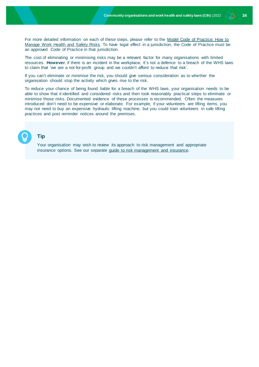For more detailed information on each of these steps, please refer to the Model Code of Practice: How to [Manage Work Health and Safety Risks.](https://www.safeworkaustralia.gov.au/doc/model-codes-practice/model-code-practice-how-manage-work-health-and-safety-risks) To have legal effect in a jurisdiction, the Code of Practice must be an approved Code of Practice in that jurisdiction.

The cost of eliminating or minimising risks may be a relevant factor for many organisations with limited resources. **However**, if there is an incident in the workplace, it's not a defence to a breach of the WHS laws to claim that 'we are a not-for-profit group and we couldn't afford to reduce that risk'.

If you can't eliminate or minimise the risk, you should give serious consideration as to whether the organisation should stop the activity which gives rise to the risk.

To reduce your chance of being found liable for a breach of the WHS laws, your organisation needs to be able to show that it identified and considered risks and then took reasonably practical steps to eliminate or minimise those risks. Documented evidence of these processes is recommended. Often the measures introduced don't need to be expensive or elaborate. For example, if your volunteers are lifting items, you may not need to buy an expensive hydraulic lifting machine, but you could train volunteers in safe lifting practices and post reminder notices around the premises.

## **Tip**

Your organisation may wish to review its approach to risk management and appropriate insurance options. See our separate [guide to risk management and insurance.](http://www.nfplaw.org.au/riskinsurance)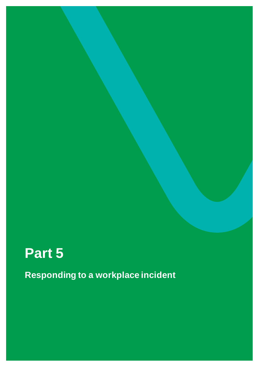# <span id="page-34-0"></span>**Part 5**

**Responding to a workplace incident**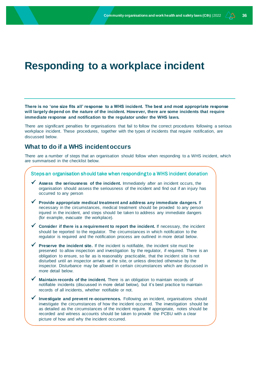## <span id="page-35-0"></span>**Responding to a workplace incident**

**There is no 'one size fits all' response to a WHS incident. The best and most appropriate response will largely depend on the nature of the incident. However, there are some incidents that require immediate response and notification to the regulator under the WHS laws.** 

There are significant penalties for organisations that fail to follow the correct procedures following a serious workplace incident. These procedures, together with the types of incidents that require notification, are discussed below.

## <span id="page-35-1"></span>**What to do if a WHS incident occurs**

There are a number of steps that an organisation should follow when responding to a WHS incident, which are summarised in the checklist below.

| Steps an organisation should take when responding to a WHS incident donation                                                                                                                                                                                                                                                                                                                                                                                                           |
|----------------------------------------------------------------------------------------------------------------------------------------------------------------------------------------------------------------------------------------------------------------------------------------------------------------------------------------------------------------------------------------------------------------------------------------------------------------------------------------|
| Assess the seriousness of the incident. Immediately after an incident occurs, the<br>organisation should assess the seriousness of the incident and find out if an injury has<br>occurred to any person                                                                                                                                                                                                                                                                                |
| Provide appropriate medical treatment and address any immediate dangers. If<br>necessary in the circumstances, medical treatment should be provided to any person<br>injured in the incident, and steps should be taken to address any immediate dangers<br>(for example, evacuate the workplace).                                                                                                                                                                                     |
| Consider if there is a requirement to report the incident. If necessary, the incident<br>should be reported to the regulator. The circumstances in which notification to the<br>regulator is required and the notification process are outlined in more detail below.                                                                                                                                                                                                                  |
| Preserve the incident site. If the incident is notifiable, the incident site must be<br>preserved to allow inspection and investigation by the regulator, if required. There is an<br>obligation to ensure, so far as is reasonably practicable, that the incident site is not<br>disturbed until an inspector arrives at the site, or unless directed otherwise by the<br>inspector. Disturbance may be allowed in certain circumstances which are discussed in<br>more detail below. |
| Maintain records of the incident. There is an obligation to maintain records of<br>notifiable incidents (discussed in more detail below), but it's best practice to maintain<br>records of all incidents, whether notifiable or not.                                                                                                                                                                                                                                                   |
| Investigate and prevent re-occurrences. Following an incident, organisations should<br>investigate the circumstances of how the incident occurred. The investigation should be<br>as detailed as the circumstances of the incident require. If appropriate, notes should be<br>recorded and witness accounts should be taken to provide the PCBU with a clear<br>picture of how and why the incident occurred.                                                                         |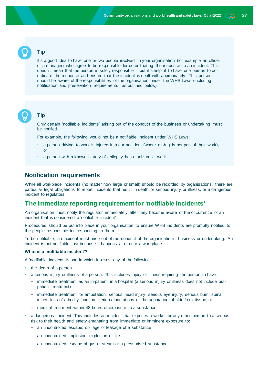## **Tip**

It's a good idea to have one or two people involved in your organisation (for example an officer or a manager) who agree to be responsible for co-ordinating the response to an incident. This doesn't mean that the person is solely responsible – but it's helpful to have one person to coordinate the response and ensure that the incident is dealt with appropriately. This person should be aware of the responsibilities of the organisation under the WHS Laws (including notification and preservation requirements, as outlined below).



## **Tip**

Only certain 'notifiable incidents' arising out of the conduct of the business or undertaking must be notified.

For example, the following would not be a notifiable incident under WHS Laws:

- a person driving to work is injured in a car accident (where driving is not part of their work), or
- a person with a known history of epilepsy has a seizure at work

## <span id="page-36-0"></span>**Notification requirements**

While all workplace incidents (no matter how large or small) should be recorded by organisations, there are particular legal obligations to report incidents that result in death or serious injury or illness, or a dangerous incident to regulators.

## <span id="page-36-1"></span>**The immediate reporting requirement for 'notifiable incidents'**

An organisation must notify the regulator immediately after they become aware of the occurrence of an incident that is considered a 'notifiable incident'.

Procedures should be put into place in your organisation to ensure WHS inc idents are promptly notified to the people responsible for responding to them.

To be notifiable, an incident must arise out of the conduct of the organisation's business or undertaking. An incident is not notifiable just because it happens at or near a workplace.

### <span id="page-36-2"></span>**What is a 'notifiable incident'?**

A 'notifiable incident' is one in which involves any of the following:

- the death of a person
- a serious injury or illness of a person. This includes injury or illness requiring the person to have:
	- immediate treatment as an in-patient in a hospital (a serious injury or illness does not include outpatient treatment)
	- immediate treatment for amputation, serious head injury, serious eye injury, serious burn, spinal injury, loss of a bodily function, serious lacerations or the separation of skin from tissue, or
	- medical treatment within 48 hours of exposure to a substance
- a dangerous incident. This includes an incident that exposes a worker or any other person to a serious risk to their health and safety emanating from immediate or imminent exposure to:
	- an uncontrolled escape, spillage or leakage of a substance
	- an uncontrolled implosion, explosion or fire
	- an uncontrolled escape of gas or steam or a pressurised substance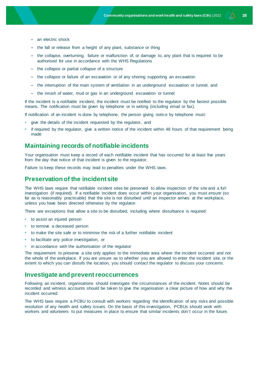- an electric shock
- the fall or release from a height of any plant, substance or thing
- the collapse, overturning, failure or malfunction of, or damage to, any plant that is required to be authorised for use in accordance with the WHS Regulations
- the collapse or partial collapse of a structure
- the collapse or failure of an excavation or of any shoring supporting an excavation
- the interruption of the main system of ventilation in an underground excavation or tunnel, and
- the inrush of water, mud or gas in an underground excavation or tunnel

If the incident is a notifiable incident, the incident must be notified to the regulator by the fastest possible means. The notification must be given by telephone or in writing (including email or fax).

If notification of an incident is done by telephone, the person giving notice by telephone must:

- give the details of the incident requested by the regulator, and
- if required by the regulator, give a written notice of the incident within 48 hours of that requirement being made

## <span id="page-37-0"></span>**Maintaining records of notifiable incidents**

Your organisation must keep a record of each notifiable incident that has occurred for at least five years from the day that notice of that incident is given to the regulator.

Failure to keep these records may lead to penalties under the WHS laws.

## <span id="page-37-1"></span>**Preservation of the incident site**

The WHS laws require that notifiable incident sites be preserved to allow inspection of the site and a full investigation (if required). If a notifiable incident does occur within your organisation, you must ensure (so far as is reasonably practicable) that the site is not disturbed until an inspector arrives at the workplace, unless you have been directed otherwise by the regulator.

There are exceptions that allow a site to be disturbed, including where disturbance is required:

- to assist an injured person
- to remove a deceased person
- to make the site safe or to minimise the risk of a further notifiable incident
- to facilitate any police investigation, or
- in accordance with the authorisation of the regulator

The requirement to preserve a site only applies to the immediate area where the incident occurred and not the whole of the workplace. If you are unsure as to whether you are allowed to enter the incident site, or the extent to which you can disturb the location, you should contact the regulator to discuss your concerns.

## <span id="page-37-2"></span>**Investigate and prevent reoccurrences**

Following an incident, organisations should investigate the circumstances of the incident. Notes should be recorded and witness accounts should be taken to give the organisation a clear picture of how and why the incident occurred.

The WHS laws require a PCBU to consult with workers regarding the identification of any risks and possible resolution of any health and safety issues. On the basis of this investigation, PCBUs should work with workers and volunteers to put measures in place to ensure that similar incidents don't occur in the future.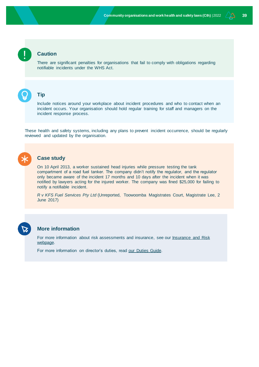## **Caution**

There are significant penalties for organisations that fail to comply with obligations regarding notifiable incidents under the WHS Act.



## **Tip**

Include notices around your workplace about incident procedures and who to contact when an incident occurs. Your organisation should hold regular training for staff and managers on the incident response process.

These health and safety systems, including any plans to prevent incident occurrence, should be regularly reviewed and updated by the organisation.



### **Case study**

On 10 April 2013, a worker sustained head injuries while pressure testing the tank compartment of a road fuel tanker. The company didn't notify the regulator, and the regulator only became aware of the incident 17 months and 10 days after the incident when it was notified by lawyers acting for the injured worker. The company was fined \$25,000 for failing to notify a notifiable incident.

*R v KFS Fuel Services Pty Ltd* (Unreported, Toowoomba Magistrates Court, Magistrate Lee, 2 June 2017)



## **More information**

For more information about risk assessments and insurance, see our Insurance and Risk [webpage.](http://www.nfplaw.org.au/riskinsurance) 

For more information on director's duties, read [our Duties Guide.](http://www.nfplaw.org.au/governance)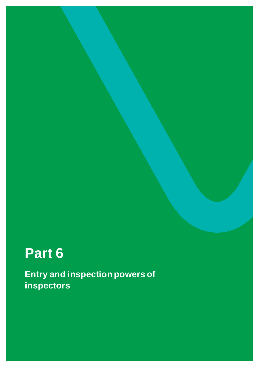# <span id="page-39-0"></span>**Part 6**

**Entry and inspection powers of inspectors**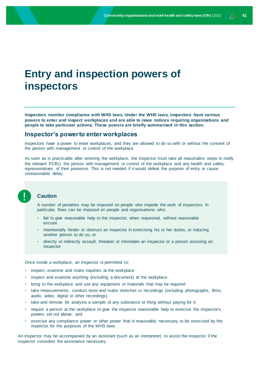## <span id="page-40-0"></span>**Entry and inspection powers of inspectors**

**Inspectors monitor compliance with WHS laws. Under the WHS laws, inspectors have various powers to enter and inspect workplaces and are able to issue notices requiring organisations and people to take particular actions. These powers are briefly summarised in this section.**

## <span id="page-40-1"></span>**Inspector's power to enter workplaces**

Inspectors have a power to enter workplaces, and they are allowed to do so with or without the consent of the person with management or control of the workplace.

As soon as is practicable after entering the workplace, the inspector must take all reasonable steps to notify the relevant PCBU, the person with management or control of the workplace and any health and safety representatives of their presence. This is not needed if it would defeat the purpose of entry or cause unreasonable delay.

## **Caution**

A number of penalties may be imposed on people who impede the work of inspectors. In particular, fines can be imposed on people and organisations who:

- fail to give reasonable help to the inspector, when requested, without reasonable excuse
- intentionally hinder or obstruct an inspector in exercising his or her duties, or inducing another person to do so, or
- directly or indirectly assault, threaten or intimidate an inspector or a person assisting an inspector

Once inside a workplace, an inspector is permitted to:

- inspect, examine and make inquiries at the workplace
- inspect and examine anything (including a document) at the workplace
- bring to the workplace and use any equipment or materials that may be required
- take measurements, conduct tests and make sketches or recordings (including photographs, films, audio, video, digital or other recordings)
- take and remove for analysis a sample of any substance or thing without paying for it
- require a person at the workplace to give the inspector reasonable help to exercise the inspector's powers set out above, and
- exercise any compliance power or other power that is reasonably necessary to be exercised by the inspector for the purposes of the WHS laws

An inspector may be accompanied by an assistant (such as an interpreter) to assist the inspector if the inspector considers the assistance necessary.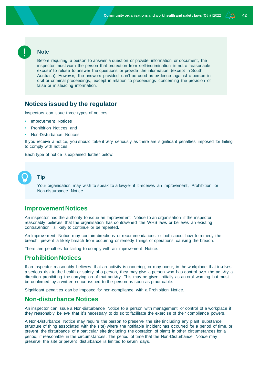

## **Note**

Before requiring a person to answer a question or provide information or document, the inspector must warn the person that protection from self-incrimination is not a 'reasonable excuse' to refuse to answer the questions or provide the information (except in South Australia). However, the answers provided can't be used as evidence against a person in civil or criminal proceedings, except in relation to proceedings concerning the provision of false or misleading information.

## <span id="page-41-0"></span>**Notices issued by the regulator**

Inspectors can issue three types of notices:

- Improvement Notices
- Prohibition Notices, and
- Non-Disturbance Notices

If you receive a notice, you should take it very seriously as there are significant penalties imposed for failing to comply with notices.

Each type of notice is explained further below.



## **Tip**

Your organisation may wish to speak to a lawyer if it receives an Improvement, Prohibition, or Non-disturbance Notice.

## <span id="page-41-1"></span>**Improvement Notices**

An inspector has the authority to issue an Improvement Notice to an organisation if the inspector reasonably believes that the organisation has contravened the WHS laws or believes an existing contravention is likely to continue or be repeated.

An Improvement Notice may contain directions or recommendations or both about how to remedy the breach, prevent a likely breach from occurring or remedy things or operations causing the breach.

There are penalties for failing to comply with an Improvement Notice.

## <span id="page-41-2"></span>**Prohibition Notices**

If an inspector reasonably believes that an activity is occurring, or may occur, in the workplace that involves a serious risk to the health or safety of a person, they may give a person who has control over the activity a direction prohibiting the carrying on of that activity. This may be given initially as an oral warning but must be confirmed by a written notice issued to the person as soon as practicable.

Significant penalties can be imposed for non-compliance with a Prohibition Notice.

## <span id="page-41-3"></span>**Non-disturbance Notices**

An inspector can issue a Non-disturbance Notice to a person with management or control of a workplace if they reasonably believe that it's necessary to do so to facilitate the exercise of their compliance powers.

A Non-Disturbance Notice may require the person to preserve the site (including any plant, substance, structure of thing associated with the site) where the notifiable incident has occurred for a period of time, or prevent the disturbance of a particular site (including the operation of plant) in other circumstances for a period, if reasonable in the circumstances. The period of time that the Non-Disturbance Notice may preserve the site or prevent disturbance is limited to seven days.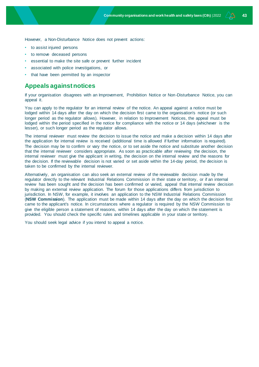However, a Non-Disturbance Notice does not prevent actions:

- to assist injured persons
- to remove deceased persons
- essential to make the site safe or prevent further incident
- associated with police investigations, or
- that have been permitted by an inspector

## <span id="page-42-0"></span>**Appeals against notices**

If your organisation disagrees with an Improvement, Prohibition Notice or Non-Disturbance Notice, you can appeal it.

You can apply to the regulator for an internal review of the notice. An appeal against a notice must be lodged within 14 days after the day on which the decision first came to the organisation's notice (or such longer period as the regulator allows). However, in relation to Improvement Notices, the appeal must be lodged within the period specified in the notice for compliance with the notice or 14 days (whichever is the lesser), or such longer period as the regulator allows.

The internal reviewer must review the decision to issue the notice and make a decision within 14 days after the application for internal review is received (additional time is allowed if further information is required). The decision may be to confirm or vary the notice, or to set aside the notice and substitute another decision that the internal reviewer considers appropriate. As soon as practicable after reviewing the decision, the internal reviewer must give the applicant in writing, the decision on the internal review and the reasons for the decision. If the reviewable decision is not varied or set aside within the 14-day period, the decision is taken to be confirmed by the internal reviewer.

Alternatively, an organisation can also seek an external review of the reviewable decision made by the regulator directly to the relevant Industrial Relations Commission in their state or territory, or if an internal review has been sought and the decision has been confirmed or varied, appeal that internal review decision by making an external review application. The forum for those applications differs from jurisdiction to jurisdiction. In NSW, for example, it involves an application to the NSW Industrial Relations Commission (**NSW Commission**). The application must be made within 14 days after the day on which the decision first came to the applicant's notice. In circumstances where a regulator is required by the NSW Commission to give the eligible person a statement of reasons, within 14 days after the day on which the statement is provided. You should check the specific rules and timelines applicable in your state or territory.

You should seek legal advice if you intend to appeal a notice.